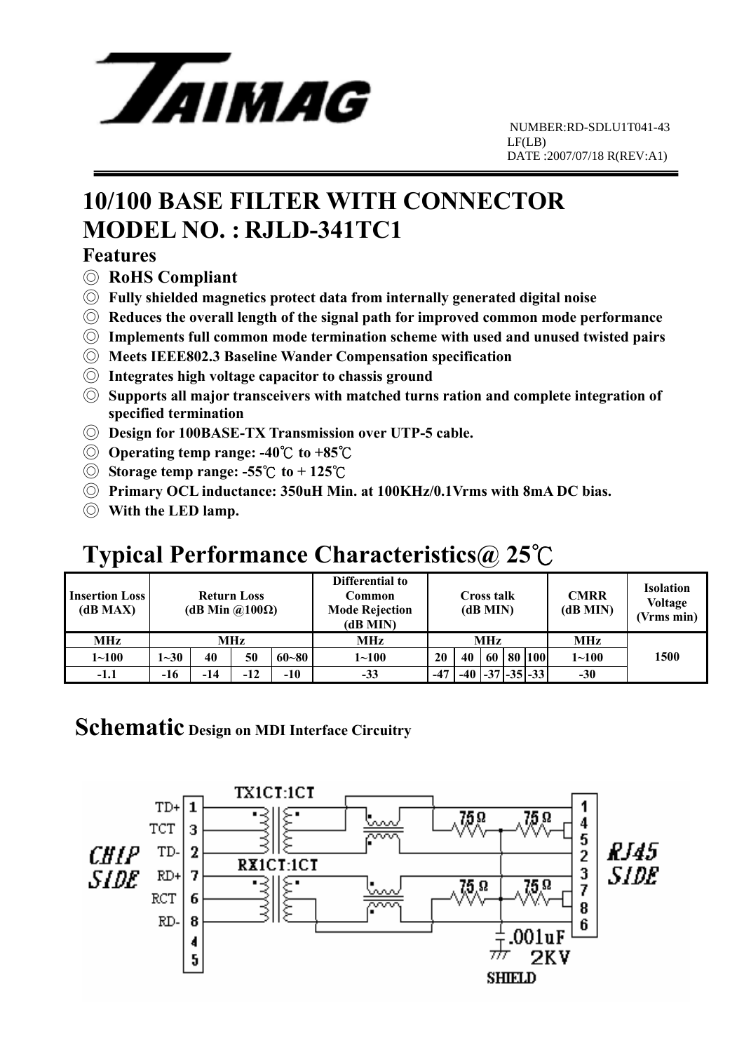

# **10/100 BASE FILTER WITH CONNECTOR MODEL NO. : RJLD-341TC1**

#### **Features**

- ◎ **RoHS Compliant**
- ◎ **Fully shielded magnetics protect data from internally generated digital noise**
- ◎ **Reduces the overall length of the signal path for improved common mode performance**
- ◎ **Implements full common mode termination scheme with used and unused twisted pairs**
- ◎ **Meets IEEE802.3 Baseline Wander Compensation specification**
- ◎ **Integrates high voltage capacitor to chassis ground**
- ◎ **Supports all major transceivers with matched turns ration and complete integration of specified termination**
- ◎ **Design for 100BASE-TX Transmission over UTP-5 cable.**
- ◎ **Operating temp range: -40** ℃ **to +85**℃
- ◎ **Storage temp range: -55**℃ **to + 125** ℃
- ◎ **Primary OCL inductance: 350uH Min. at 100KHz/0.1Vrms with 8mA DC bias.**
- ◎ **With the LED lamp.**

## **Typical Performance Characteristics@ 25**℃

| <b>Insertion Loss</b><br>(dB MAX) | <b>Return Loss</b><br>(dB Min $\omega(100\Omega)$ ) |       |       |           | Differential to<br>Common<br><b>Mode Rejection</b><br>(dB MIN) | <b>Cross talk</b><br>(dB MIN) |    |    |  | <b>CMRR</b><br>(dB MIN) | <b>Isolation</b><br><b>Voltage</b><br>(Vrms min) |      |
|-----------------------------------|-----------------------------------------------------|-------|-------|-----------|----------------------------------------------------------------|-------------------------------|----|----|--|-------------------------|--------------------------------------------------|------|
| MHz                               | MHz                                                 |       |       |           | MHz                                                            | MHz                           |    |    |  |                         | <b>MHz</b>                                       |      |
| $1 - 100$                         | $1 - 30$                                            | 40    | 50    | $60 - 80$ | $1 - 100$                                                      | 20                            | 40 | 60 |  | 80 100                  | $1 - 100$                                        | 1500 |
| -1.1                              | $-16$                                               | $-14$ | $-12$ | $-10$     | $-33$                                                          | $-47$                         |    |    |  | $-40$ $-37$ $-35$ $-33$ | $-30$                                            |      |

#### **Schematic Design on MDI Interface Circuitry**

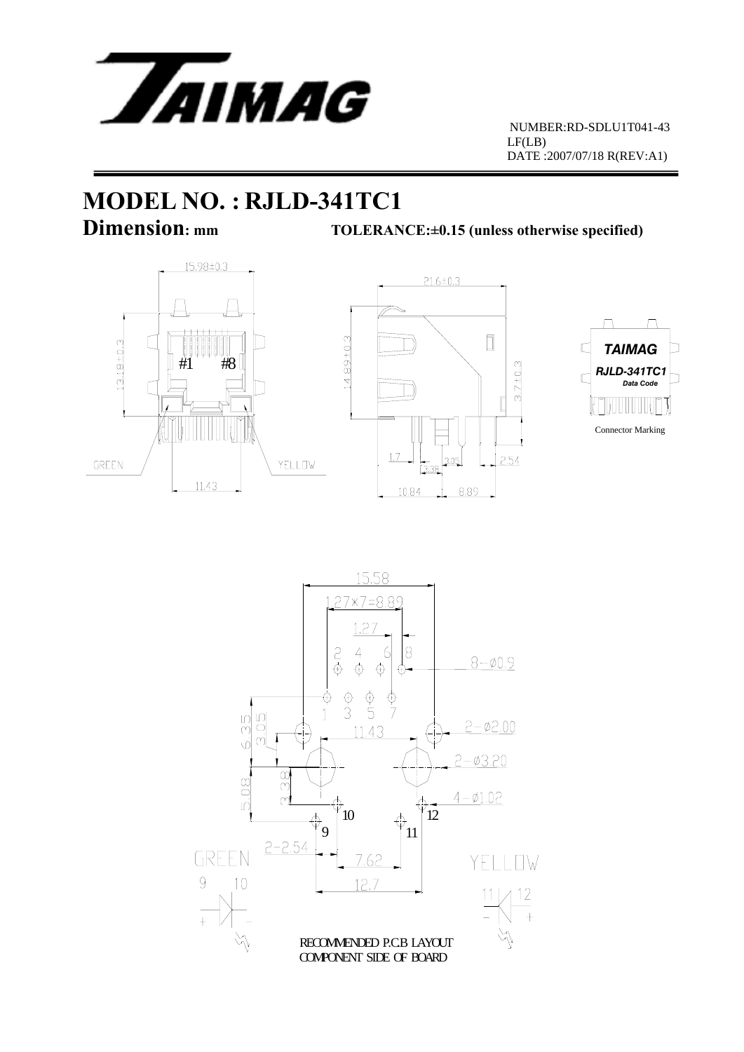

# **MODEL NO. : RJLD-341TC1**

**Dimension:** mm TOLERANCE:±0.15 (unless otherwise specified)







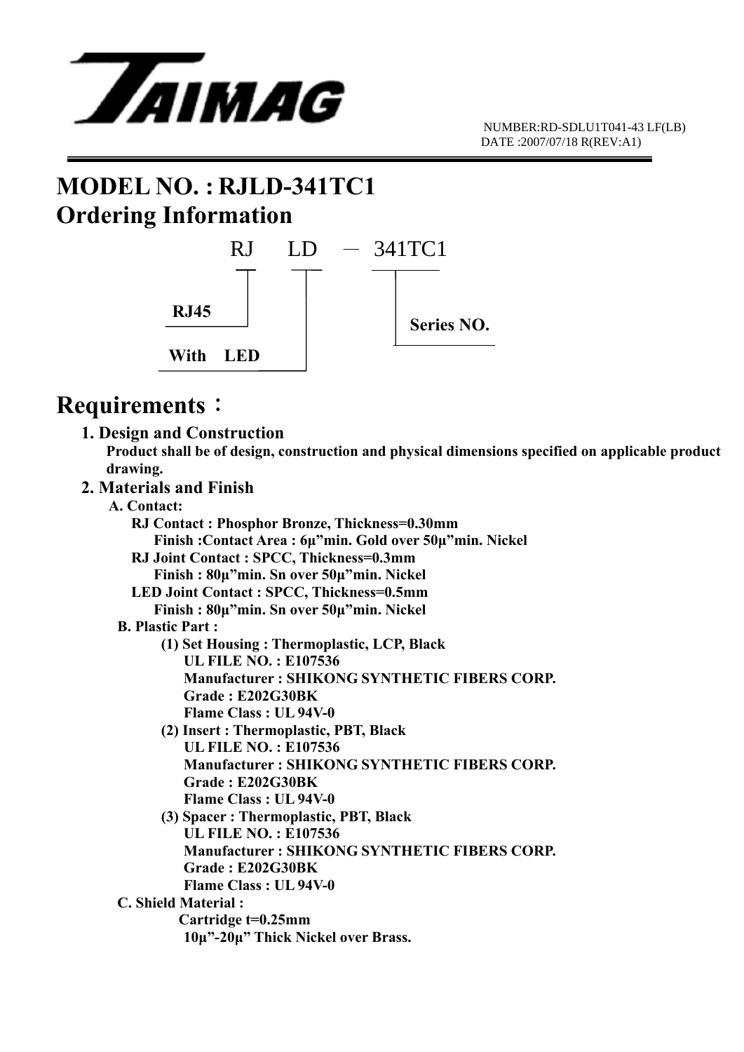

### **MODEL NO. : RJLD-341TC1 Ordering Information**



#### **Requirements**:

 **1. Design and Construction** 

 **Product shall be of design, construction and physical dimensions specified on applicable product drawing.** 

- **2. Materials and Finish** 
	- **A. Contact:**

 **RJ Contact : Phosphor Bronze, Thickness=0.30mm Finish :Contact Area : 6μ"min. Gold over 50μ"min. Nickel RJ Joint Contact : SPCC, Thickness=0.3mm Finish : 80μ"min. Sn over 50μ"min. Nickel LED Joint Contact : SPCC, Thickness=0.5mm Finish : 80μ"min. Sn over 50μ"min. Nickel B. Plastic Part : (1) Set Housing : Thermoplastic, LCP, Black UL FILE NO. : E107536 Manufacturer : SHIKONG SYNTHETIC FIBERS CORP. Grade : E202G30BK Flame Class : UL 94V-0 (2) Insert : Thermoplastic, PBT, Black UL FILE NO. : E107536 Manufacturer : SHIKONG SYNTHETIC FIBERS CORP. Grade : E202G30BK Flame Class : UL 94V-0 (3) Spacer : Thermoplastic, PBT, Black UL FILE NO. : E107536 Manufacturer : SHIKONG SYNTHETIC FIBERS CORP. Grade : E202G30BK Flame Class : UL 94V-0 C. Shield Material : Cartridge t=0.25mm 10μ"-20μ" Thick Nickel over Brass.**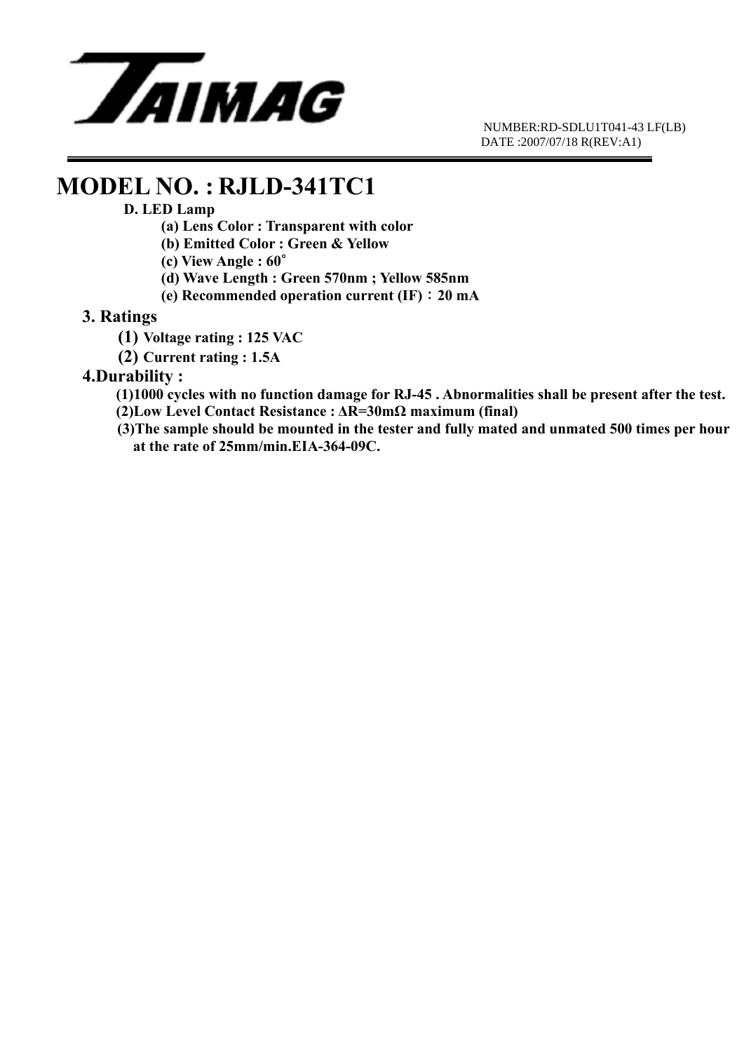

### **MODEL NO. : RJLD-341TC1**

#### **D. LED Lamp**

- **(a) Lens Color : Transparent with color**
- **(b) Emitted Color : Green & Yellow**
- **(c) View Angle : 60**∘
- **(d) Wave Length : Green 570nm ; Yellow 585nm**
- **(e) Recommended operation current (IF)**:**20 mA**

#### **3. Ratings**

- **(1) Voltage rating : 125 VAC**
- **(2) Current rating : 1.5A**

#### **4.Durability :**

- **(1)1000 cycles with no function damage for RJ-45 . Abnormalities shall be present after the test.**
- **(2)Low Level Contact Resistance : ΔR=30mΩ maximum (final)**
- **(3)The sample should be mounted in the tester and fully mated and unmated 500 times per hour at the rate of 25mm/min.EIA-364-09C.**